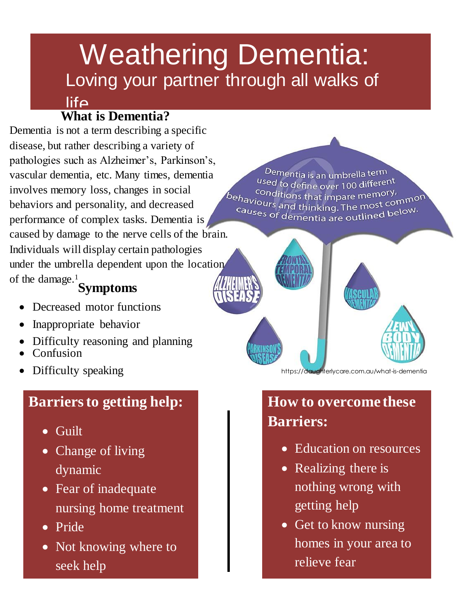# Loving your partner through all walks of Weathering Dementia:

# **What is Dementia?**

 $l$ ife

Dementia is not a term describing a specific disease, but rather describing a variety of pathologies such as Alzheimer's, Parkinson's, vascular dementia, etc. Many times, dementia involves memory loss, changes in social behaviors and personality, and decreased performance of complex tasks. Dementia is caused by damage to the nerve cells of the brain. Individuals will display certain pathologies under the umbrella dependent upon the location of the damage.<sup>1</sup>

#### **Symptoms**

- Decreased motor functions
- Inappropriate behavior
- Difficulty reasoning and planning
- Confusion
- Difficulty speaking

# **Barriers to getting help:**

- Guilt
- Change of living dynamic
- Fear of inadequate nursing home treatment
- Pride
- Not knowing where to seek help

Dementia is an umbrella term used to define over 100 different conditions that impare memory. behaviours and that impare memory,<br>Causes and thinking. The most common Causes of dementia are outlined below.



https://daughterlycare.com.au/what-is-dementia

# **How to overcome these Barriers:**

- Education on resources
- Realizing there is nothing wrong with getting help
- Get to know nursing homes in your area to relieve fear